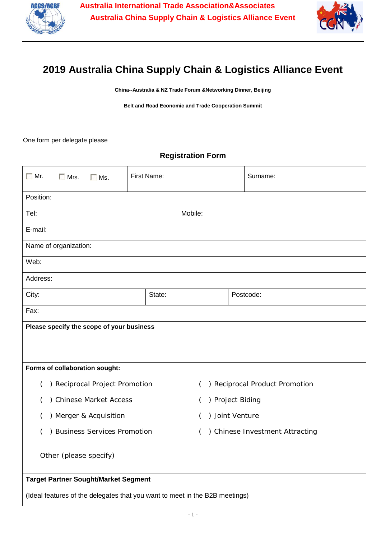



## **2019 Australia China Supply Chain & Logistics Alliance Event**

**China--Australia & NZ Trade Forum &Networking Dinner, Beijing**

**Belt and Road Economic and Trade Cooperation Summit**

One form per delegate please

## **Registration Form**

| $\Box$ Mr.                                  | $\Box$ Mrs.                   | $\Box$ Ms. | First Name: |                                            |                  | Surname:  |  |
|---------------------------------------------|-------------------------------|------------|-------------|--------------------------------------------|------------------|-----------|--|
| Position:                                   |                               |            |             |                                            |                  |           |  |
| Tel:                                        |                               |            | Mobile:     |                                            |                  |           |  |
| E-mail:                                     |                               |            |             |                                            |                  |           |  |
| Name of organization:                       |                               |            |             |                                            |                  |           |  |
| Web:                                        |                               |            |             |                                            |                  |           |  |
| Address:                                    |                               |            |             |                                            |                  |           |  |
| City:                                       |                               |            |             | State:                                     |                  | Postcode: |  |
| Fax:                                        |                               |            |             |                                            |                  |           |  |
| Please specify the scope of your business   |                               |            |             |                                            |                  |           |  |
|                                             |                               |            |             |                                            |                  |           |  |
| Forms of collaboration sought:              |                               |            |             |                                            |                  |           |  |
| ) Reciprocal Project Promotion<br>(         |                               |            |             | ) Reciprocal Product Promotion<br>$\left($ |                  |           |  |
|                                             | ) Chinese Market Access       |            |             |                                            | ) Project Biding |           |  |
| ) Merger & Acquisition                      |                               |            |             | ) Joint Venture                            |                  |           |  |
|                                             | ) Business Services Promotion |            |             | ) Chinese Investment Attracting<br>(       |                  |           |  |
| Other (please specify)                      |                               |            |             |                                            |                  |           |  |
| <b>Target Partner Sought/Market Segment</b> |                               |            |             |                                            |                  |           |  |

(Ideal features of the delegates that you want to meet in the B2B meetings)